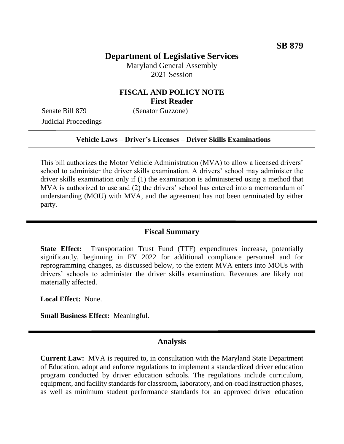## **Department of Legislative Services**

Maryland General Assembly 2021 Session

# **FISCAL AND POLICY NOTE First Reader**

Senate Bill 879 (Senator Guzzone) Judicial Proceedings

### **Vehicle Laws – Driver's Licenses – Driver Skills Examinations**

This bill authorizes the Motor Vehicle Administration (MVA) to allow a licensed drivers' school to administer the driver skills examination. A drivers' school may administer the driver skills examination only if (1) the examination is administered using a method that MVA is authorized to use and (2) the drivers' school has entered into a memorandum of understanding (MOU) with MVA, and the agreement has not been terminated by either party.

## **Fiscal Summary**

**State Effect:** Transportation Trust Fund (TTF) expenditures increase, potentially significantly, beginning in FY 2022 for additional compliance personnel and for reprogramming changes, as discussed below, to the extent MVA enters into MOUs with drivers' schools to administer the driver skills examination. Revenues are likely not materially affected.

**Local Effect:** None.

**Small Business Effect:** Meaningful.

#### **Analysis**

**Current Law:** MVA is required to, in consultation with the Maryland State Department of Education, adopt and enforce regulations to implement a standardized driver education program conducted by driver education schools. The regulations include curriculum, equipment, and facility standards for classroom, laboratory, and on-road instruction phases, as well as minimum student performance standards for an approved driver education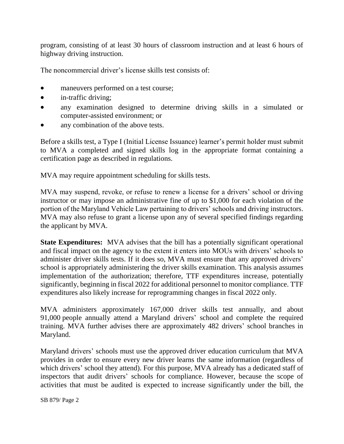program, consisting of at least 30 hours of classroom instruction and at least 6 hours of highway driving instruction.

The noncommercial driver's license skills test consists of:

- maneuvers performed on a test course;
- in-traffic driving;
- any examination designed to determine driving skills in a simulated or computer-assisted environment; or
- any combination of the above tests.

Before a skills test, a Type I (Initial License Issuance) learner's permit holder must submit to MVA a completed and signed skills log in the appropriate format containing a certification page as described in regulations.

MVA may require appointment scheduling for skills tests.

MVA may suspend, revoke, or refuse to renew a license for a drivers' school or driving instructor or may impose an administrative fine of up to \$1,000 for each violation of the portion of the Maryland Vehicle Law pertaining to drivers' schools and driving instructors. MVA may also refuse to grant a license upon any of several specified findings regarding the applicant by MVA.

**State Expenditures:** MVA advises that the bill has a potentially significant operational and fiscal impact on the agency to the extent it enters into MOUs with drivers' schools to administer driver skills tests. If it does so, MVA must ensure that any approved drivers' school is appropriately administering the driver skills examination. This analysis assumes implementation of the authorization; therefore, TTF expenditures increase, potentially significantly, beginning in fiscal 2022 for additional personnel to monitor compliance. TTF expenditures also likely increase for reprogramming changes in fiscal 2022 only.

MVA administers approximately 167,000 driver skills test annually, and about 91,000 people annually attend a Maryland drivers' school and complete the required training. MVA further advises there are approximately 482 drivers' school branches in Maryland.

Maryland drivers' schools must use the approved driver education curriculum that MVA provides in order to ensure every new driver learns the same information (regardless of which drivers' school they attend). For this purpose, MVA already has a dedicated staff of inspectors that audit drivers' schools for compliance. However, because the scope of activities that must be audited is expected to increase significantly under the bill, the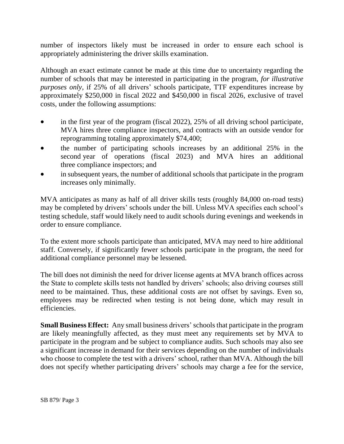number of inspectors likely must be increased in order to ensure each school is appropriately administering the driver skills examination.

Although an exact estimate cannot be made at this time due to uncertainty regarding the number of schools that may be interested in participating in the program, *for illustrative purposes only*, if 25% of all drivers' schools participate, TTF expenditures increase by approximately \$250,000 in fiscal 2022 and \$450,000 in fiscal 2026, exclusive of travel costs, under the following assumptions:

- in the first year of the program (fiscal 2022), 25% of all driving school participate, MVA hires three compliance inspectors, and contracts with an outside vendor for reprogramming totaling approximately \$74,400;
- the number of participating schools increases by an additional 25% in the second year of operations (fiscal 2023) and MVA hires an additional three compliance inspectors; and
- in subsequent years, the number of additional schools that participate in the program increases only minimally.

MVA anticipates as many as half of all driver skills tests (roughly 84,000 on-road tests) may be completed by drivers' schools under the bill. Unless MVA specifies each school's testing schedule, staff would likely need to audit schools during evenings and weekends in order to ensure compliance.

To the extent more schools participate than anticipated, MVA may need to hire additional staff. Conversely, if significantly fewer schools participate in the program, the need for additional compliance personnel may be lessened.

The bill does not diminish the need for driver license agents at MVA branch offices across the State to complete skills tests not handled by drivers' schools; also driving courses still need to be maintained. Thus, these additional costs are not offset by savings. Even so, employees may be redirected when testing is not being done, which may result in efficiencies.

**Small Business Effect:** Any small business drivers' schools that participate in the program are likely meaningfully affected, as they must meet any requirements set by MVA to participate in the program and be subject to compliance audits. Such schools may also see a significant increase in demand for their services depending on the number of individuals who choose to complete the test with a drivers' school, rather than MVA. Although the bill does not specify whether participating drivers' schools may charge a fee for the service,